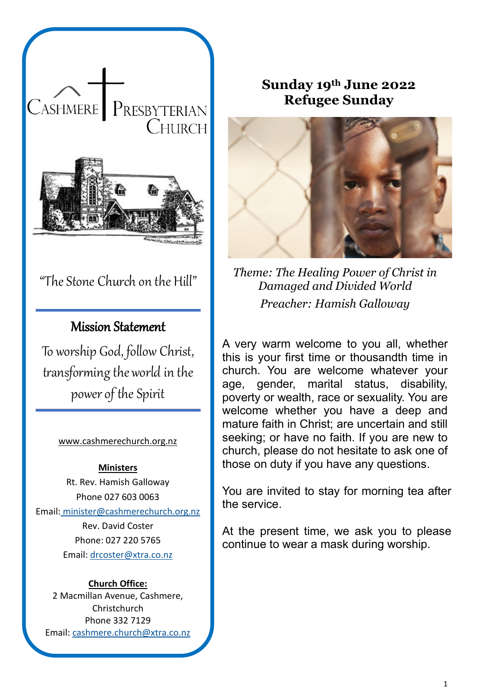

# "The Stone Church on the Hill"

# Mission Statement

To worship God, follow Christ, transforming the world in the power of the Spirit

#### [www.cashmerechurch.org.nz](http://www.cashmerechurch.org.nz/)

#### **Ministers**

Rt. Rev. Hamish Galloway Phone 027 603 0063 Email: [minister@cashmerechurch.org.nz](mailto:minister@cashmerechurch.org.nz) Rev. David Coster Phone: 027 220 5765 Email: [drcoster@xtra.co.nz](mailto:drcoster@xtra.co.nz)

#### **Church Office:**

2 Macmillan Avenue, Cashmere, Christchurch Phone 332 7129 Email: [cashmere.church@xtra.co.nz](mailto:cashmere.church@xtra.co.nz)

# **Sunday 19th June 2022 Refugee Sunday**



*Theme: The Healing Power of Christ in Damaged and Divided World Preacher: Hamish Galloway*

A very warm welcome to you all, whether this is your first time or thousandth time in church. You are welcome whatever your age, gender, marital status, disability, poverty or wealth, race or sexuality. You are welcome whether you have a deep and mature faith in Christ; are uncertain and still seeking; or have no faith. If you are new to church, please do not hesitate to ask one of those on duty if you have any questions.

You are invited to stay for morning tea after the service.

At the present time, we ask you to please continue to wear a mask during worship.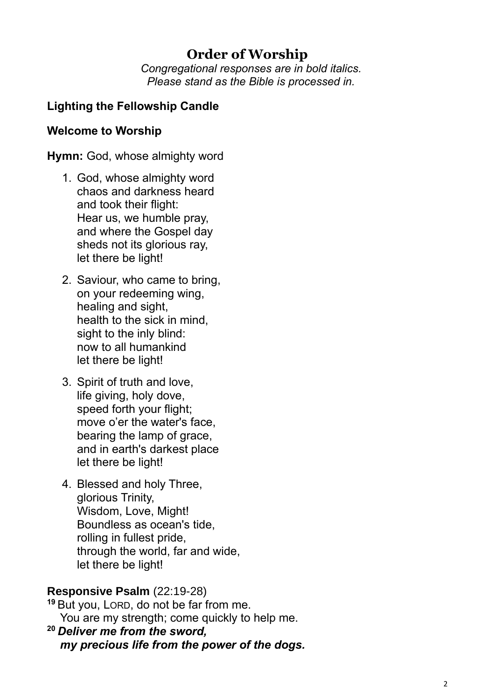# **Order of Worship**

*Congregational responses are in bold italics. Please stand as the Bible is processed in.*

## **Lighting the Fellowship Candle**

### **Welcome to Worship**

**Hymn:** God, whose almighty word

- 1. God, whose almighty word chaos and darkness heard and took their flight: Hear us, we humble pray, and where the Gospel day sheds not its glorious ray, let there be light!
- 2. Saviour, who came to bring, on your redeeming wing, healing and sight, health to the sick in mind, sight to the inly blind: now to all humankind let there be light!
- 3. Spirit of truth and love, life giving, holy dove, speed forth your flight; move o'er the water's face, bearing the lamp of grace, and in earth's darkest place let there be light!
- 4. Blessed and holy Three, glorious Trinity, Wisdom, Love, Might! Boundless as ocean's tide, rolling in fullest pride, through the world, far and wide, let there be light!

#### **Responsive Psalm** (22:19-28)

**<sup>19</sup>** But you, LORD, do not be far from me. You are my strength; come quickly to help me.

**<sup>20</sup>** *Deliver me from the sword, my precious life from the power of the dogs.*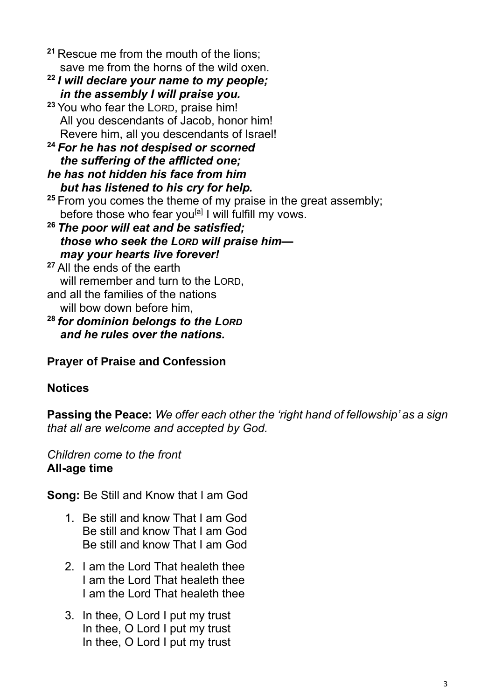**<sup>21</sup>** Rescue me from the mouth of the lions; save me from the horns of the wild oxen.

- **<sup>22</sup>** *I will declare your name to my people; in the assembly I will praise you.*
- **<sup>23</sup>** You who fear the LORD, praise him! All you descendants of Jacob, honor him! Revere him, all you descendants of Israel!

**<sup>24</sup>** *For he has not despised or scorned the suffering of the afflicted one; he has not hidden his face from him*

 *but has listened to his cry for help.*

- **<sup>25</sup>** From you comes the theme of my praise in the great assembly; before those who fear you<sup>[\[a\]](https://www.biblegateway.com/passage/?search=Isaiah+65.1-9%3B+Psalm+22.19-28%3B+Galatians+3.23-29%3B+Luke+8.26-39&version=NIV#fen-NIV-14230a)</sup> I will fulfill my vows.
- **<sup>26</sup>** *The poor will eat and be satisfied; those who seek the LORD will praise him may your hearts live forever!*

**<sup>27</sup>** All the ends of the earth will remember and turn to the LORD. and all the families of the nations

will bow down before him,

**<sup>28</sup>** *for dominion belongs to the LORD and he rules over the nations.*

# **Prayer of Praise and Confession**

# **Notices**

**Passing the Peace:** *We offer each other the 'right hand of fellowship' as a sign that all are welcome and accepted by God.*

### *Children come to the front* **All-age time**

**Song:** Be Still and Know that I am God

- 1. Be still and know That I am God Be still and know That I am God Be still and know That I am God
- 2. I am the Lord That healeth thee I am the Lord That healeth thee I am the Lord That healeth thee
- 3. In thee, O Lord I put my trust In thee, O Lord I put my trust In thee, O Lord I put my trust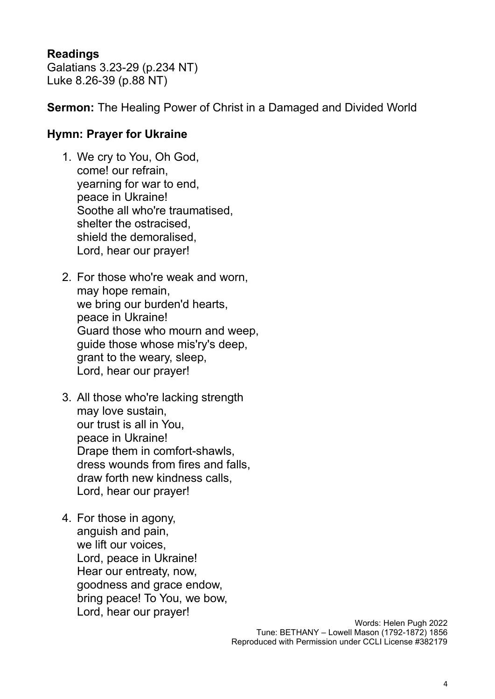### **Readings**

Galatians 3.23-29 (p.234 NT) Luke 8.26-39 (p.88 NT)

**Sermon:** The Healing Power of Christ in a Damaged and Divided World

### **Hymn: Prayer for Ukraine**

- 1. We cry to You, Oh God, come! our refrain, yearning for war to end, peace in Ukraine! Soothe all who're traumatised, shelter the ostracised, shield the demoralised, Lord, hear our prayer!
- 2. For those who're weak and worn, may hope remain, we bring our burden'd hearts, peace in Ukraine! Guard those who mourn and weep, guide those whose mis'ry's deep, grant to the weary, sleep, Lord, hear our prayer!
- 3. All those who're lacking strength may love sustain, our trust is all in You, peace in Ukraine! Drape them in comfort-shawls, dress wounds from fires and falls, draw forth new kindness calls, Lord, hear our prayer!
- 4. For those in agony, anguish and pain, we lift our voices, Lord, peace in Ukraine! Hear our entreaty, now, goodness and grace endow, bring peace! To You, we bow, Lord, hear our prayer!

Words: Helen Pugh 2022 Tune: BETHANY – Lowell Mason (1792-1872) 1856 Reproduced with Permission under CCLI License #382179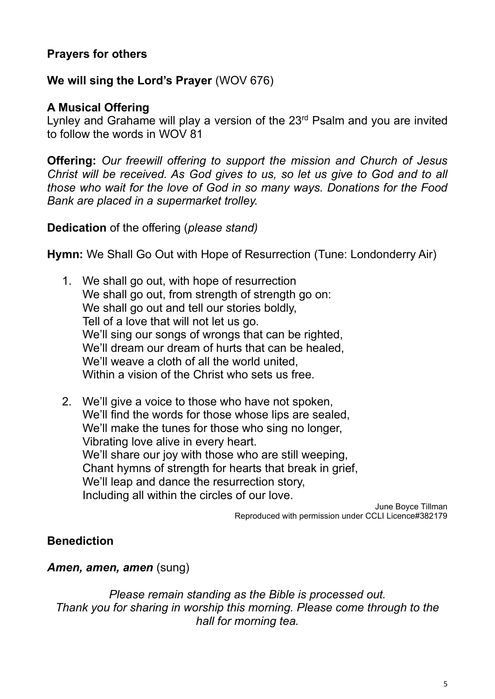## **Prayers for others**

### **We will sing the Lord's Prayer** (WOV 676)

#### **A Musical Offering**

Lynley and Grahame will play a version of the 23<sup>rd</sup> Psalm and you are invited to follow the words in WOV 81

**Offering:** *Our freewill offering to support the mission and Church of Jesus Christ will be received. As God gives to us, so let us give to God and to all those who wait for the love of God in so many ways. Donations for the Food Bank are placed in a supermarket trolley.* 

**Dedication** of the offering (*please stand)* 

**Hymn:** We Shall Go Out with Hope of Resurrection (Tune: Londonderry Air)

- 1. We shall go out, with hope of resurrection We shall go out, from strength of strength go on: We shall go out and tell our stories boldly, Tell of a love that will not let us go. We'll sing our songs of wrongs that can be righted, We'll dream our dream of hurts that can be healed. We'll weave a cloth of all the world united. Within a vision of the Christ who sets us free.
- 2. We'll give a voice to those who have not spoken, We'll find the words for those whose lips are sealed, We'll make the tunes for those who sing no longer, Vibrating love alive in every heart. We'll share our joy with those who are still weeping, Chant hymns of strength for hearts that break in grief, We'll leap and dance the resurrection story, Including all within the circles of our love.

June Boyce Tillman Reproduced with permission under CCLI Licence#382179

### **Benediction**

*Amen, amen, amen* (sung)

*Please remain standing as the Bible is processed out. Thank you for sharing in worship this morning. Please come through to the hall for morning tea.*